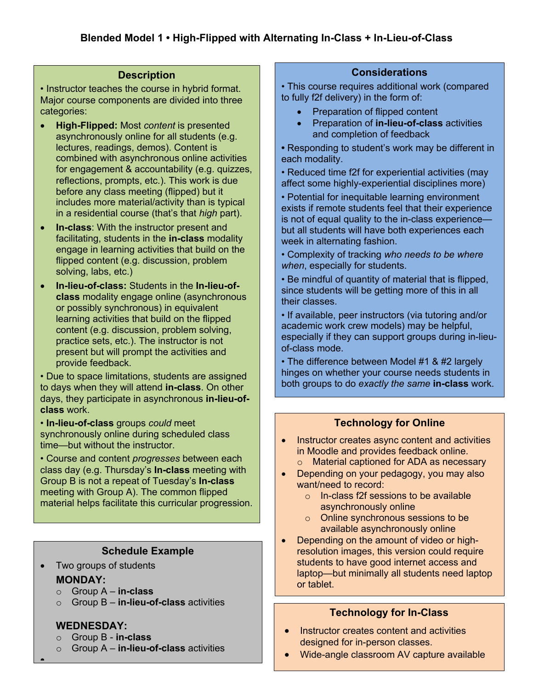### **Description**

• Instructor teaches the course in hybrid format. Major course components are divided into three categories:

- **High-Flipped:** Most *content* is presented asynchronously online for all students (e.g. lectures, readings, demos). Content is combined with asynchronous online activities for engagement & accountability (e.g. quizzes, reflections, prompts, etc.). This work is due before any class meeting (flipped) but it includes more material/activity than is typical in a residential course (that's that *high* part).
- **In-class**: With the instructor present and facilitating, students in the **in-class** modality engage in learning activities that build on the flipped content (e.g. discussion, problem solving, labs, etc.)
- **In-lieu-of-class:** Students in the **In-lieu-ofclass** modality engage online (asynchronous or possibly synchronous) in equivalent learning activities that build on the flipped content (e.g. discussion, problem solving, practice sets, etc.). The instructor is not present but will prompt the activities and provide feedback.

• Due to space limitations, students are assigned to days when they will attend **in-class**. On other days, they participate in asynchronous **in-lieu-ofclass** work.

• **In-lieu-of-class** groups *could* meet synchronously online during scheduled class time—but without the instructor.

• Course and content *progresses* between each class day (e.g. Thursday's **In-class** meeting with Group B is not a repeat of Tuesday's **In-class** meeting with Group A). The common flipped material helps facilitate this curricular progression.

# **Schedule Example**

- Two groups of students **MONDAY:**
	- o Group A **in-class**
	- o Group B **in-lieu-of-class** activities

# **WEDNESDAY:**

•

- o Group B **in-class**
- o Group A **in-lieu-of-class** activities

# **Considerations**

• This course requires additional work (compared to fully f2f delivery) in the form of:

- Preparation of flipped content
- Preparation of **in-lieu-of-class** activities and completion of feedback

**•** Responding to student's work may be different in each modality.

• Reduced time f2f for experiential activities (may affect some highly-experiential disciplines more)

• Potential for inequitable learning environment exists if remote students feel that their experience is not of equal quality to the in-class experience but all students will have both experiences each week in alternating fashion.

• Complexity of tracking *who needs to be where when*, especially for students.

• Be mindful of quantity of material that is flipped, since students will be getting more of this in all their classes.

• If available, peer instructors (via tutoring and/or academic work crew models) may be helpful, especially if they can support groups during in-lieuof-class mode.

• The difference between Model #1 & #2 largely hinges on whether your course needs students in both groups to do *exactly the same* **in-class** work.

# **Technology for Online**

- Instructor creates async content and activities in Moodle and provides feedback online.
	- o Material captioned for ADA as necessary
- Depending on your pedagogy, you may also want/need to record:
	- o In-class f2f sessions to be available asynchronously online
	- o Online synchronous sessions to be available asynchronously online
- Depending on the amount of video or highresolution images, this version could require students to have good internet access and laptop—but minimally all students need laptop or tablet.

# **Technology for In-Class**

- Instructor creates content and activities designed for in-person classes.
- Wide-angle classroom AV capture available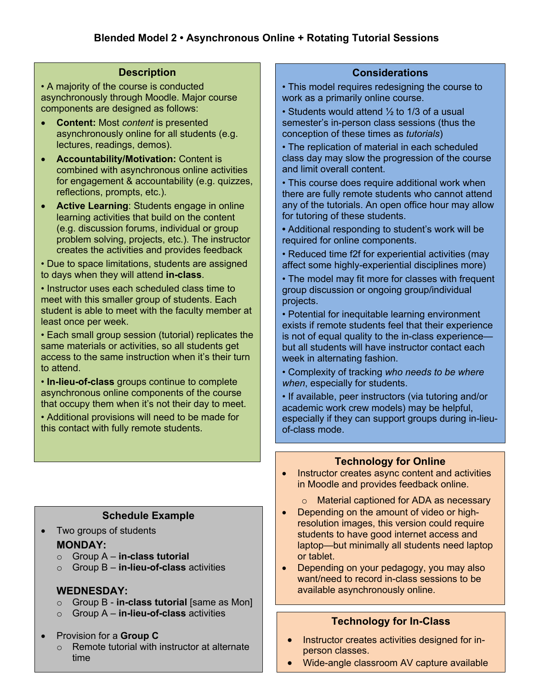### **Description**

• A majority of the course is conducted asynchronously through Moodle. Major course components are designed as follows:

- **Content:** Most *content* is presented asynchronously online for all students (e.g. lectures, readings, demos).
- **Accountability/Motivation:** Content is combined with asynchronous online activities for engagement & accountability (e.g. quizzes, reflections, prompts, etc.).
- **Active Learning**: Students engage in online learning activities that build on the content (e.g. discussion forums, individual or group problem solving, projects, etc.). The instructor creates the activities and provides feedback

• Due to space limitations, students are assigned to days when they will attend **in-class**.

• Instructor uses each scheduled class time to meet with this smaller group of students. Each student is able to meet with the faculty member at least once per week.

• Each small group session (tutorial) replicates the same materials or activities, so all students get access to the same instruction when it's their turn to attend.

• **In-lieu-of-class** groups continue to complete asynchronous online components of the course that occupy them when it's not their day to meet.

• Additional provisions will need to be made for this contact with fully remote students.

# **Schedule Example**

• Two groups of students

### **MONDAY:**

- o Group A **in-class tutorial**
- o Group B **in-lieu-of-class** activities

# **WEDNESDAY:**

- o Group B **in-class tutorial** [same as Mon]
- o Group A **in-lieu-of-class** activities
- Provision for a **Group C**
	- o Remote tutorial with instructor at alternate time

# **Considerations**

• This model requires redesigning the course to work as a primarily online course.

• Students would attend 1/2 to 1/3 of a usual semester's in-person class sessions (thus the conception of these times as *tutorials*)

• The replication of material in each scheduled class day may slow the progression of the course and limit overall content.

• This course does require additional work when there are fully remote students who cannot attend any of the tutorials. An open office hour may allow for tutoring of these students.

**•** Additional responding to student's work will be required for online components.

• Reduced time f2f for experiential activities (may affect some highly-experiential disciplines more)

• The model may fit more for classes with frequent group discussion or ongoing group/individual projects.

• Potential for inequitable learning environment exists if remote students feel that their experience is not of equal quality to the in-class experience but all students will have instructor contact each week in alternating fashion.

• Complexity of tracking *who needs to be where when*, especially for students.

• If available, peer instructors (via tutoring and/or academic work crew models) may be helpful, especially if they can support groups during in-lieuof-class mode.

# **Technology for Online**

- Instructor creates async content and activities in Moodle and provides feedback online.
	- o Material captioned for ADA as necessary
- Depending on the amount of video or highresolution images, this version could require students to have good internet access and laptop—but minimally all students need laptop or tablet.
- Depending on your pedagogy, you may also want/need to record in-class sessions to be available asynchronously online.

# **Technology for In-Class**

- Instructor creates activities designed for inperson classes.
- Wide-angle classroom AV capture available

•